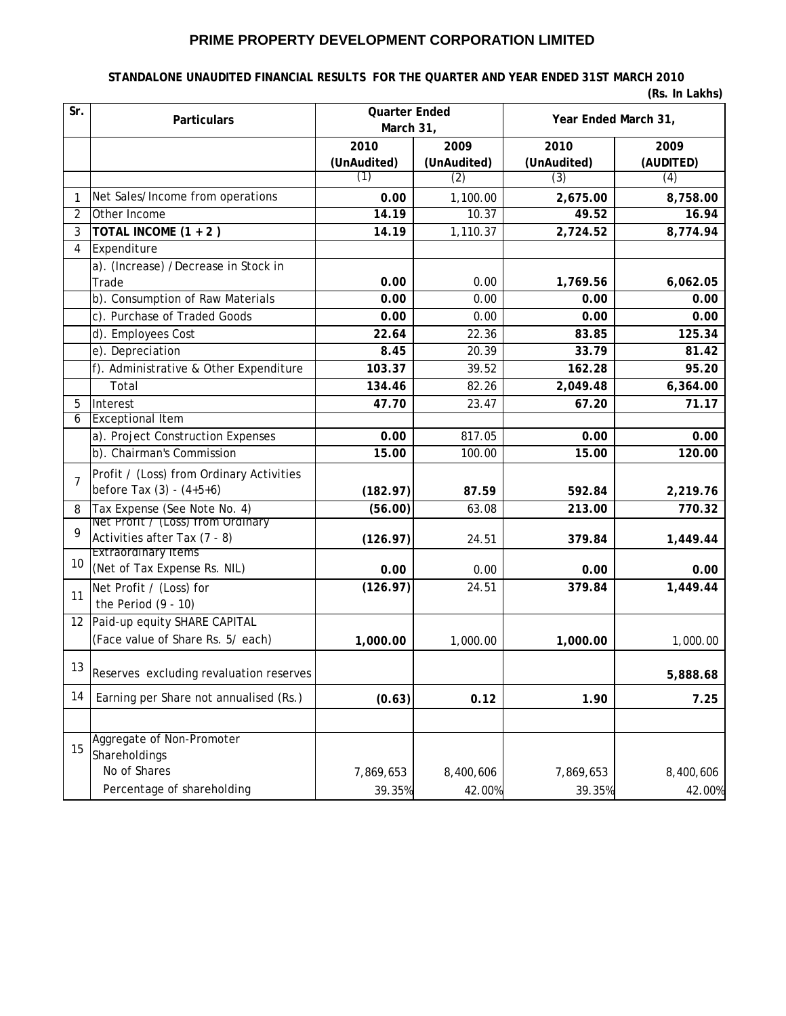# **PRIME PROPERTY DEVELOPMENT CORPORATION LIMITED**

#### **STANDALONE UNAUDITED FINANCIAL RESULTS FOR THE QUARTER AND YEAR ENDED 31ST MARCH 2010**

|  |  | (Rs. In Lakhs) |
|--|--|----------------|
|--|--|----------------|

| Sr.            | <b>Particulars</b>                       | <b>Quarter Ended</b><br>March 31, |                     | Year Ended March 31, |                   |
|----------------|------------------------------------------|-----------------------------------|---------------------|----------------------|-------------------|
|                |                                          | 2010<br>(UnAudited)               | 2009<br>(UnAudited) | 2010<br>(UnAudited)  | 2009<br>(AUDITED) |
|                |                                          | (1)                               | (2)                 | (3)                  | (4)               |
| 1              | Net Sales/Income from operations         | 0.00                              | 1,100.00            | 2,675.00             | 8,758.00          |
| 2              | Other Income                             | 14.19                             | 10.37               | 49.52                | 16.94             |
| 3              | TOTAL INCOME (1 + 2)                     | 14.19                             | 1,110.37            | 2,724.52             | 8,774.94          |
| 4              | Expenditure                              |                                   |                     |                      |                   |
|                | a). (Increase) /Decrease in Stock in     |                                   |                     |                      |                   |
|                | Trade                                    | 0.00                              | 0.00                | 1,769.56             | 6,062.05          |
|                | b). Consumption of Raw Materials         | 0.00                              | 0.00                | 0.00                 | 0.00              |
|                | c). Purchase of Traded Goods             | 0.00                              | 0.00                | 0.00                 | 0.00              |
|                | d). Employees Cost                       | 22.64                             | 22.36               | 83.85                | 125.34            |
|                | e). Depreciation                         | 8.45                              | 20.39               | 33.79                | 81.42             |
|                | f). Administrative & Other Expenditure   | 103.37                            | 39.52               | 162.28               | 95.20             |
|                | Total                                    | 134.46                            | 82.26               | 2,049.48             | 6,364.00          |
| 5              | Interest                                 | 47.70                             | 23.47               | 67.20                | 71.17             |
| 6              | <b>Exceptional Item</b>                  |                                   |                     |                      |                   |
|                | a). Project Construction Expenses        | 0.00                              | 817.05              | 0.00                 | 0.00              |
|                | b). Chairman's Commission                | 15.00                             | 100.00              | 15.00                | 120.00            |
| $\overline{7}$ | Profit / (Loss) from Ordinary Activities |                                   |                     |                      |                   |
|                | before Tax $(3) - (4+5+6)$               | (182.97)                          | 87.59               | 592.84               | 2,219.76          |
| 8              | Tax Expense (See Note No. 4)             | (56.00)                           | 63.08               | 213.00               | 770.32            |
| 9              | Net Profit / (Loss) from Ordinary        |                                   |                     |                      |                   |
|                | Activities after Tax (7 - 8)             | (126.97)                          | 24.51               | 379.84               | 1,449.44          |
| 10             | <b>Extraordinary Items</b>               |                                   |                     |                      |                   |
|                | (Net of Tax Expense Rs. NIL)             | 0.00                              | 0.00                | 0.00                 | 0.00              |
| 11             | Net Profit / (Loss) for                  | (126.97)                          | 24.51               | 379.84               | 1,449.44          |
|                | the Period $(9 - 10)$                    |                                   |                     |                      |                   |
|                | 12 Paid-up equity SHARE CAPITAL          |                                   |                     |                      |                   |
|                | (Face value of Share Rs. 5/ each)        | 1,000.00                          | 1,000.00            | 1,000.00             | 1,000.00          |
| 13             | Reserves excluding revaluation reserves  |                                   |                     |                      | 5,888.68          |
| 14             | Earning per Share not annualised (Rs.)   | (0.63)                            | 0.12                | 1.90                 | 7.25              |
|                | Aggregate of Non-Promoter                |                                   |                     |                      |                   |
| 15             | Shareholdings                            |                                   |                     |                      |                   |
|                | No of Shares                             | 7,869,653                         | 8,400,606           | 7,869,653            | 8,400,606         |
|                | Percentage of shareholding               | 39.35%                            | 42.00%              | 39.35%               | 42.00%            |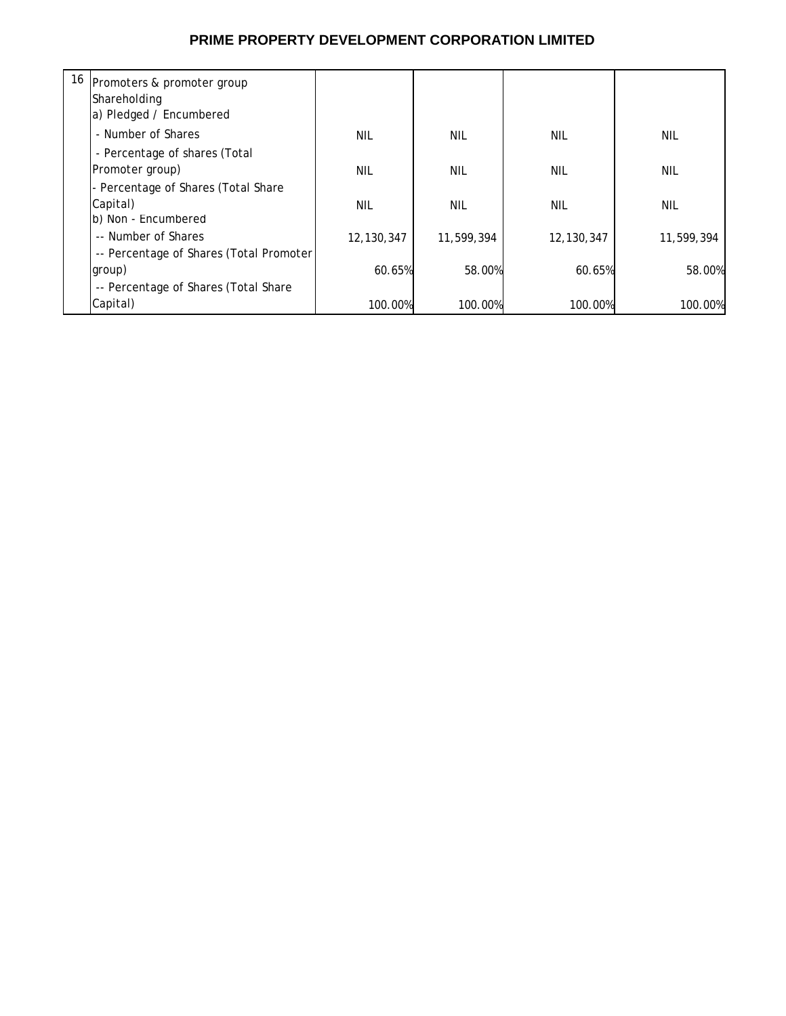# **PRIME PROPERTY DEVELOPMENT CORPORATION LIMITED**

| 16 | Promoters & promoter group<br>Shareholding<br>a) Pledged / Encumbered |            |            |              |            |
|----|-----------------------------------------------------------------------|------------|------------|--------------|------------|
|    | - Number of Shares                                                    | <b>NIL</b> | <b>NIL</b> | <b>NIL</b>   | <b>NIL</b> |
|    | - Percentage of shares (Total                                         |            |            |              |            |
|    | Promoter group)                                                       | <b>NIL</b> | NIL        | <b>NIL</b>   | NIL        |
|    | - Percentage of Shares (Total Share                                   |            |            |              |            |
|    | Capital)                                                              | NIL        | NIL        | <b>NIL</b>   | NIL        |
|    | b) Non - Encumbered                                                   |            |            |              |            |
|    | -- Number of Shares                                                   | 12,130,347 | 11,599,394 | 12, 130, 347 | 11,599,394 |
|    | -- Percentage of Shares (Total Promoter                               |            |            |              |            |
|    | group)                                                                | 60.65%     | 58.00%     | 60.65%       | 58.00%     |
|    | -- Percentage of Shares (Total Share                                  |            |            |              |            |
|    | Capital)                                                              | 100.00%    | 100.00%    | 100.00%      | 100.00%    |